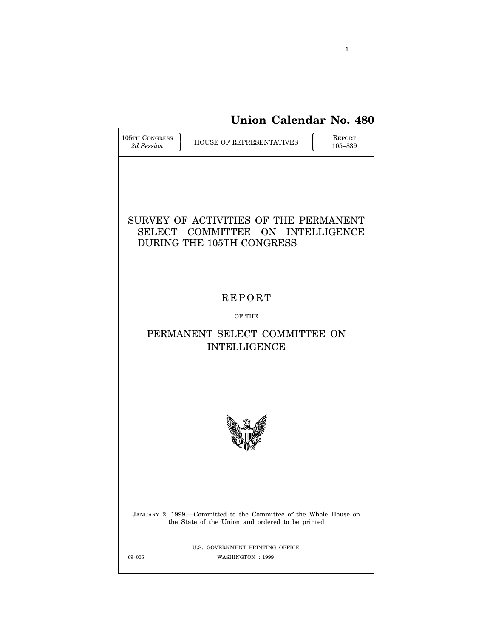**Union Calendar No. 480**

| 105TH CONGRESS<br><b>REPORT</b><br><b>HOUSE OF REPRESENTATIVES</b><br>2d Session<br>105-839                           |
|-----------------------------------------------------------------------------------------------------------------------|
| SURVEY OF ACTIVITIES OF THE PERMANENT<br>SELECT COMMITTEE ON INTELLIGENCE<br>DURING THE 105TH CONGRESS                |
| <b>REPORT</b>                                                                                                         |
| OF THE                                                                                                                |
| PERMANENT SELECT COMMITTEE ON<br><b>INTELLIGENCE</b>                                                                  |
|                                                                                                                       |
| JANUARY 2, 1999.-Committed to the Committee of the Whole House on<br>the State of the Union and ordered to be printed |
| U.S. GOVERNMENT PRINTING OFFICE<br>WASHINGTON: 1999<br>69-006                                                         |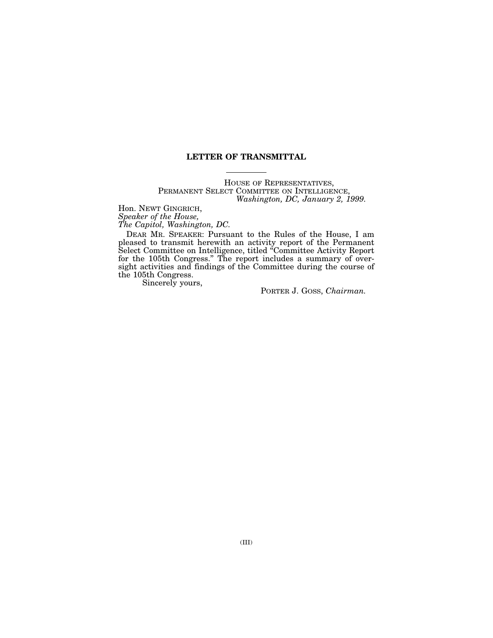## **LETTER OF TRANSMITTAL**

HOUSE OF REPRESENTATIVES, PERMANENT SELECT COMMITTEE ON INTELLIGENCE, *Washington, DC, January 2, 1999.*

Hon. NEWT GINGRICH, *Speaker of the House, The Capitol, Washington, DC.*

DEAR MR. SPEAKER: Pursuant to the Rules of the House, I am pleased to transmit herewith an activity report of the Permanent Select Committee on Intelligence, titled ''Committee Activity Report for the 105th Congress.'' The report includes a summary of oversight activities and findings of the Committee during the course of the 105th Congress.

Sincerely yours,

PORTER J. GOSS, *Chairman.*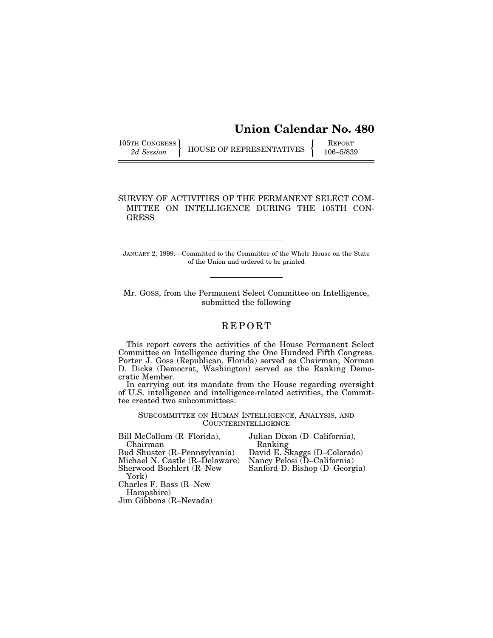# **Union Calendar No. 480**

105TH CONGRESS REPORT THE BUSE OF REPRESENTATIVES  $\left\{\n\begin{array}{c}\n\text{REPORT}\n\text{106}-5/839\n\end{array}\n\right\}$ 

### SURVEY OF ACTIVITIES OF THE PERMANENT SELECT COM-MITTEE ON INTELLIGENCE DURING THE 105TH CON-**GRESS**

JANUARY 2, 1999.—Committed to the Committee of the Whole House on the State of the Union and ordered to be printed

Mr. GOSS, from the Permanent Select Committee on Intelligence, submitted the following

## REPORT

This report covers the activities of the House Permanent Select Committee on Intelligence during the One Hundred Fifth Congress. Porter J. Goss (Republican, Florida) served as Chairman; Norman D. Dicks (Democrat, Washington) served as the Ranking Democratic Member.

In carrying out its mandate from the House regarding oversight of U.S. intelligence and intelligence-related activities, the Committee created two subcommittees:

SUBCOMMITTEE ON HUMAN INTELLIGENCE, ANALYSIS, AND COUNTERINTELLIGENCE

| Julian Dixon (D-California),  |
|-------------------------------|
| Ranking                       |
| David E. Skaggs (D-Colorado)  |
| Nancy Pelosi (D-California)   |
| Sanford D. Bishop (D-Georgia) |
|                               |
|                               |
|                               |
|                               |
|                               |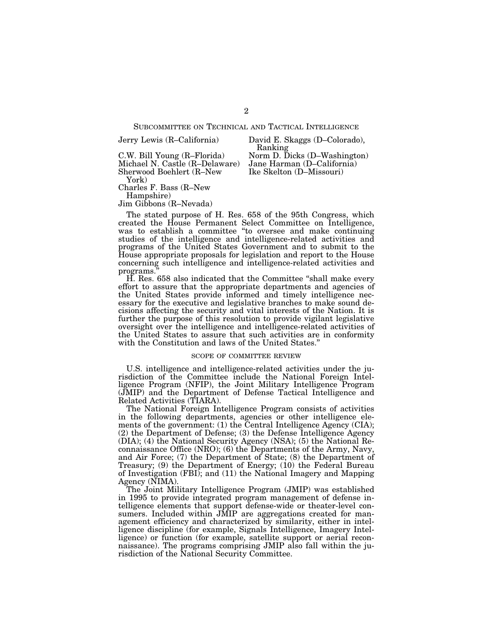SUBCOMMITTEE ON TECHNICAL AND TACTICAL INTELLIGENCE

Ranking

Ike Skelton (D–Missouri)

Jerry Lewis (R–California) David E. Skaggs (D–Colorado),

C.W. Bill Young (R–Florida) Norm D. Dicks (D–Washington)<br>Michael N. Castle (R–Delaware) Jane Harman (D–California) Michael N. Castle (R–Delaware) Sherwood Boehlert (R–New York)

Charles F. Bass (R–New

Hampshire)

Jim Gibbons (R–Nevada)

The stated purpose of H. Res. 658 of the 95th Congress, which created the House Permanent Select Committee on Intelligence, was to establish a committee "to oversee and make continuing studies of the intelligence and intelligence-related activities and programs of the United States Government and to submit to the House appropriate proposals for legislation and report to the House concerning such intelligence and intelligence-related activities and programs.

H. Res. 658 also indicated that the Committee ''shall make every effort to assure that the appropriate departments and agencies of the United States provide informed and timely intelligence necessary for the executive and legislative branches to make sound decisions affecting the security and vital interests of the Nation. It is further the purpose of this resolution to provide vigilant legislative oversight over the intelligence and intelligence-related activities of the United States to assure that such activities are in conformity with the Constitution and laws of the United States.''

#### SCOPE OF COMMITTEE REVIEW

U.S. intelligence and intelligence-related activities under the jurisdiction of the Committee include the National Foreign Intelligence Program (NFIP), the Joint Military Intelligence Program (JMIP) and the Department of Defense Tactical Intelligence and Related Activities (TIARA).

The National Foreign Intelligence Program consists of activities in the following departments, agencies or other intelligence elements of the government: (1) the Central Intelligence Agency (CIA); (2) the Department of Defense; (3) the Defense Intelligence Agency (DIA); (4) the National Security Agency (NSA); (5) the National Reconnaissance Office (NRO); (6) the Departments of the Army, Navy, and Air Force; (7) the Department of State; (8) the Department of Treasury; (9) the Department of Energy; (10) the Federal Bureau of Investigation (FBI); and (11) the National Imagery and Mapping Agency (NIMA).

The Joint Military Intelligence Program (JMIP) was established in 1995 to provide integrated program management of defense intelligence elements that support defense-wide or theater-level consumers. Included within JMIP are aggregations created for management efficiency and characterized by similarity, either in intelligence discipline (for example, Signals Intelligence, Imagery Intelligence) or function (for example, satellite support or aerial reconnaissance). The programs comprising JMIP also fall within the jurisdiction of the National Security Committee.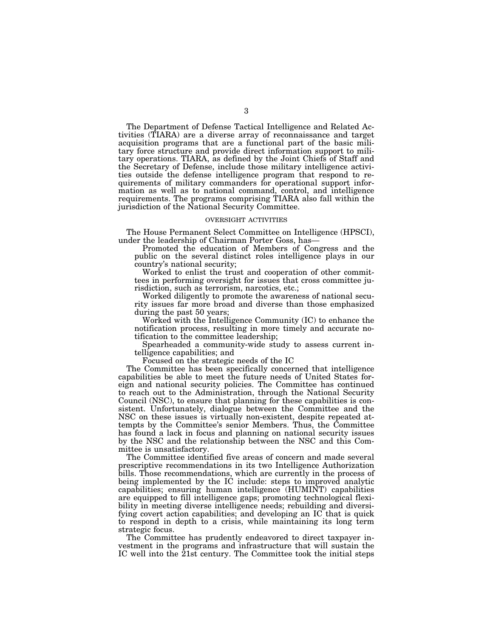The Department of Defense Tactical Intelligence and Related Activities (TIARA) are a diverse array of reconnaissance and target acquisition programs that are a functional part of the basic military force structure and provide direct information support to military operations. TIARA, as defined by the Joint Chiefs of Staff and the Secretary of Defense, include those military intelligence activities outside the defense intelligence program that respond to requirements of military commanders for operational support information as well as to national command, control, and intelligence requirements. The programs comprising TIARA also fall within the jurisdiction of the National Security Committee.

#### OVERSIGHT ACTIVITIES

The House Permanent Select Committee on Intelligence (HPSCI), under the leadership of Chairman Porter Goss, has—

Promoted the education of Members of Congress and the public on the several distinct roles intelligence plays in our country's national security;

Worked to enlist the trust and cooperation of other committees in performing oversight for issues that cross committee jurisdiction, such as terrorism, narcotics, etc.;

Worked diligently to promote the awareness of national security issues far more broad and diverse than those emphasized during the past 50 years;

Worked with the Intelligence Community (IC) to enhance the notification process, resulting in more timely and accurate notification to the committee leadership;

Spearheaded a community-wide study to assess current intelligence capabilities; and

Focused on the strategic needs of the IC

The Committee has been specifically concerned that intelligence capabilities be able to meet the future needs of United States foreign and national security policies. The Committee has continued to reach out to the Administration, through the National Security Council (NSC), to ensure that planning for these capabilities is consistent. Unfortunately, dialogue between the Committee and the NSC on these issues is virtually non-existent, despite repeated attempts by the Committee's senior Members. Thus, the Committee has found a lack in focus and planning on national security issues by the NSC and the relationship between the NSC and this Committee is unsatisfactory.

The Committee identified five areas of concern and made several prescriptive recommendations in its two Intelligence Authorization bills. Those recommendations, which are currently in the process of being implemented by the IC include: steps to improved analytic capabilities; ensuring human intelligence (HUMINT) capabilities are equipped to fill intelligence gaps; promoting technological flexibility in meeting diverse intelligence needs; rebuilding and diversifying covert action capabilities; and developing an IC that is quick to respond in depth to a crisis, while maintaining its long term strategic focus.

The Committee has prudently endeavored to direct taxpayer investment in the programs and infrastructure that will sustain the IC well into the 21st century. The Committee took the initial steps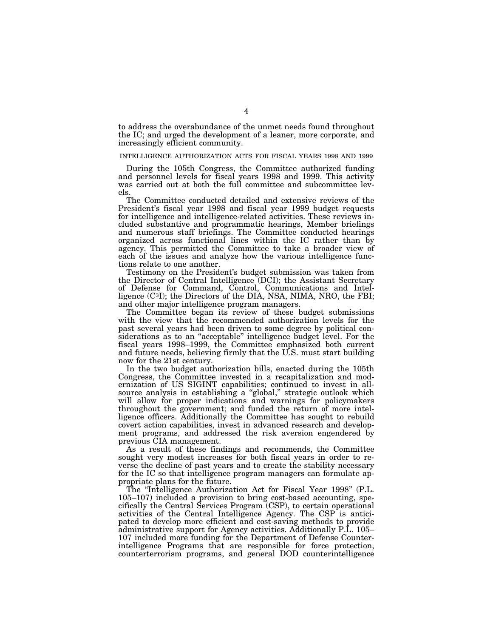to address the overabundance of the unmet needs found throughout the IC; and urged the development of a leaner, more corporate, and increasingly efficient community.

#### INTELLIGENCE AUTHORIZATION ACTS FOR FISCAL YEARS 1998 AND 1999

During the 105th Congress, the Committee authorized funding and personnel levels for fiscal years 1998 and 1999. This activity was carried out at both the full committee and subcommittee levels.

The Committee conducted detailed and extensive reviews of the President's fiscal year 1998 and fiscal year 1999 budget requests for intelligence and intelligence-related activities. These reviews included substantive and programmatic hearings, Member briefings and numerous staff briefings. The Committee conducted hearings organized across functional lines within the IC rather than by agency. This permitted the Committee to take a broader view of each of the issues and analyze how the various intelligence functions relate to one another.

Testimony on the President's budget submission was taken from the Director of Central Intelligence (DCI); the Assistant Secretary of Defense for Command, Control, Communications and Intelligence (C3I); the Directors of the DIA, NSA, NIMA, NRO, the FBI; and other major intelligence program managers.

The Committee began its review of these budget submissions with the view that the recommended authorization levels for the past several years had been driven to some degree by political considerations as to an ''acceptable'' intelligence budget level. For the fiscal years 1998–1999, the Committee emphasized both current and future needs, believing firmly that the U.S. must start building now for the 21st century.

In the two budget authorization bills, enacted during the 105th Congress, the Committee invested in a recapitalization and modernization of US SIGINT capabilities; continued to invest in allsource analysis in establishing a ''global,'' strategic outlook which will allow for proper indications and warnings for policymakers throughout the government; and funded the return of more intelligence officers. Additionally the Committee has sought to rebuild covert action capabilities, invest in advanced research and development programs, and addressed the risk aversion engendered by previous CIA management.

As a result of these findings and recommends, the Committee sought very modest increases for both fiscal years in order to reverse the decline of past years and to create the stability necessary for the IC so that intelligence program managers can formulate appropriate plans for the future.

The ''Intelligence Authorization Act for Fiscal Year 1998'' (P.L. 105–107) included a provision to bring cost-based accounting, specifically the Central Services Program (CSP), to certain operational activities of the Central Intelligence Agency. The CSP is anticipated to develop more efficient and cost-saving methods to provide administrative support for Agency activities. Additionally P.L. 105– 107 included more funding for the Department of Defense Counterintelligence Programs that are responsible for force protection, counterterrorism programs, and general DOD counterintelligence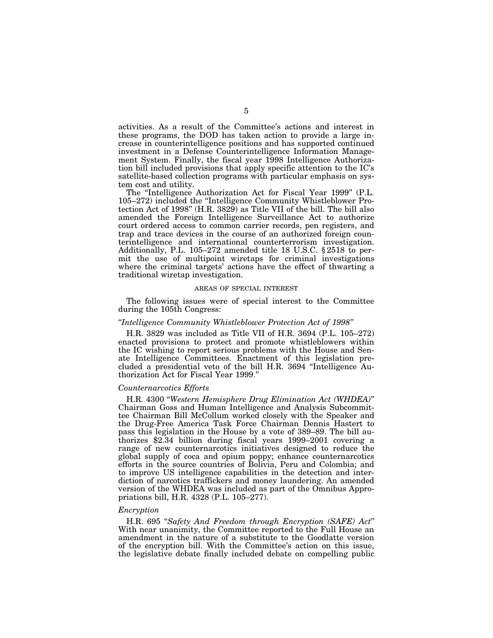activities. As a result of the Committee's actions and interest in these programs, the DOD has taken action to provide a large increase in counterintelligence positions and has supported continued investment in a Defense Counterintelligence Information Management System. Finally, the fiscal year 1998 Intelligence Authorization bill included provisions that apply specific attention to the IC's satellite-based collection programs with particular emphasis on system cost and utility.

The "Intelligence Authorization Act for Fiscal Year 1999" (P.L. 105–272) included the ''Intelligence Community Whistleblower Protection Act of 1998'' (H.R. 3829) as Title VII of the bill. The bill also amended the Foreign Intelligence Surveillance Act to authorize court ordered access to common carrier records, pen registers, and trap and trace devices in the course of an authorized foreign counterintelligence and international counterterrorism investigation. Additionally, P.L. 105–272 amended title 18 U.S.C. § 2518 to permit the use of multipoint wiretaps for criminal investigations where the criminal targets' actions have the effect of thwarting a traditional wiretap investigation.

#### AREAS OF SPECIAL INTEREST

The following issues were of special interest to the Committee during the 105th Congress:

#### *''Intelligence Community Whistleblower Protection Act of 1998''*

H.R. 3829 was included as Title VII of H.R. 3694 (P.L. 105–272) enacted provisions to protect and promote whistleblowers within the IC wishing to report serious problems with the House and Senate Intelligence Committees. Enactment of this legislation precluded a presidential veto of the bill H.R. 3694 ''Intelligence Authorization Act for Fiscal Year 1999.''

#### *Counternarcotics Efforts*

H.R. 4300 ''*Western Hemisphere Drug Elimination Act (WHDEA)*'' Chairman Goss and Human Intelligence and Analysis Subcommittee Chairman Bill McCollum worked closely with the Speaker and the Drug-Free America Task Force Chairman Dennis Hastert to pass this legislation in the House by a vote of 389–89. The bill authorizes \$2.34 billion during fiscal years 1999–2001 covering a range of new counternarcotics initiatives designed to reduce the global supply of coca and opium poppy; enhance counternarcotics efforts in the source countries of Bolivia, Peru and Colombia; and to improve US intelligence capabilities in the detection and interdiction of narcotics traffickers and money laundering. An amended version of the WHDEA was included as part of the Omnibus Appropriations bill, H.R. 4328 (P.L. 105–277).

#### *Encryption*

H.R. 695 ''*Safety And Freedom through Encryption (SAFE) Act*'' With near unanimity, the Committee reported to the Full House an amendment in the nature of a substitute to the Goodlatte version of the encryption bill. With the Committee's action on this issue, the legislative debate finally included debate on compelling public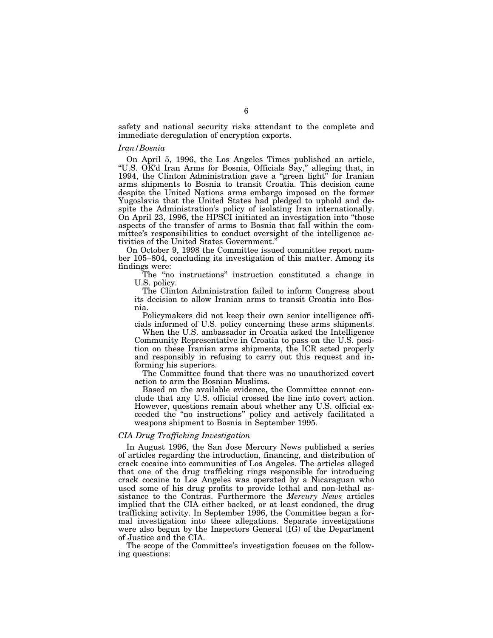safety and national security risks attendant to the complete and immediate deregulation of encryption exports.

#### *Iran/Bosnia*

On April 5, 1996, the Los Angeles Times published an article, ''U.S. OK'd Iran Arms for Bosnia, Officials Say,'' alleging that, in 1994, the Clinton Administration gave a "green light" for Iranian arms shipments to Bosnia to transit Croatia. This decision came despite the United Nations arms embargo imposed on the former Yugoslavia that the United States had pledged to uphold and despite the Administration's policy of isolating Iran internationally. On April 23, 1996, the HPSCI initiated an investigation into ''those aspects of the transfer of arms to Bosnia that fall within the committee's responsibilities to conduct oversight of the intelligence activities of the United States Government.''

On October 9, 1998 the Committee issued committee report number 105–804, concluding its investigation of this matter. Among its findings were:

The ''no instructions'' instruction constituted a change in U.S. policy.

The Clinton Administration failed to inform Congress about its decision to allow Iranian arms to transit Croatia into Bosnia.

Policymakers did not keep their own senior intelligence officials informed of U.S. policy concerning these arms shipments.

When the U.S. ambassador in Croatia asked the Intelligence Community Representative in Croatia to pass on the U.S. position on these Iranian arms shipments, the ICR acted properly and responsibly in refusing to carry out this request and informing his superiors.

The Committee found that there was no unauthorized covert action to arm the Bosnian Muslims.

Based on the available evidence, the Committee cannot conclude that any U.S. official crossed the line into covert action. However, questions remain about whether any U.S. official exceeded the ''no instructions'' policy and actively facilitated a weapons shipment to Bosnia in September 1995.

#### *CIA Drug Trafficking Investigation*

In August 1996, the San Jose Mercury News published a series of articles regarding the introduction, financing, and distribution of crack cocaine into communities of Los Angeles. The articles alleged that one of the drug trafficking rings responsible for introducing crack cocaine to Los Angeles was operated by a Nicaraguan who used some of his drug profits to provide lethal and non-lethal assistance to the Contras. Furthermore the *Mercury News* articles implied that the CIA either backed, or at least condoned, the drug trafficking activity. In September 1996, the Committee began a formal investigation into these allegations. Separate investigations were also begun by the Inspectors General (IG) of the Department of Justice and the CIA.

The scope of the Committee's investigation focuses on the following questions: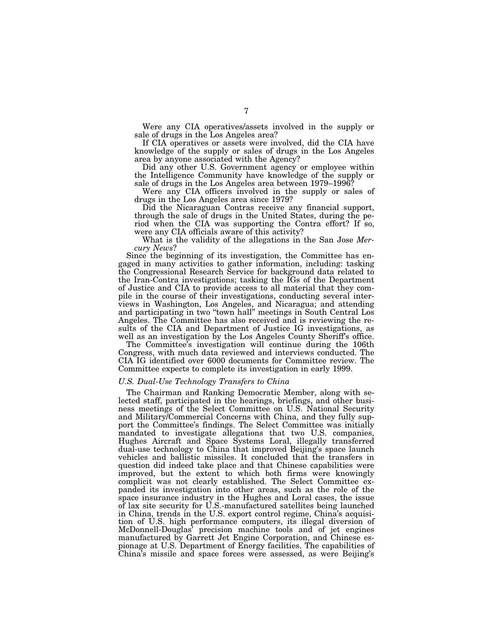Were any CIA operatives/assets involved in the supply or sale of drugs in the Los Angeles area?

If CIA operatives or assets were involved, did the CIA have knowledge of the supply or sales of drugs in the Los Angeles area by anyone associated with the Agency?

Did any other U.S. Government agency or employee within the Intelligence Community have knowledge of the supply or sale of drugs in the Los Angeles area between 1979–1996?

Were any CIA officers involved in the supply or sales of drugs in the Los Angeles area since 1979?

Did the Nicaraguan Contras receive any financial support, through the sale of drugs in the United States, during the period when the CIA was supporting the Contra effort? If so, were any CIA officials aware of this activity?

What is the validity of the allegations in the San Jose *Mercury News*?

Since the beginning of its investigation, the Committee has engaged in many activities to gather information, including: tasking the Congressional Research Service for background data related to the Iran-Contra investigations; tasking the IGs of the Department of Justice and CIA to provide access to all material that they compile in the course of their investigations, conducting several interviews in Washington, Los Angeles, and Nicaragua; and attending and participating in two ''town hall'' meetings in South Central Los Angeles. The Committee has also received and is reviewing the results of the CIA and Department of Justice IG investigations, as well as an investigation by the Los Angeles County Sheriff's office.

The Committee's investigation will continue during the 106th Congress, with much data reviewed and interviews conducted. The CIA IG identified over 6000 documents for Committee review. The Committee expects to complete its investigation in early 1999.

#### *U.S. Dual-Use Technology Transfers to China*

The Chairman and Ranking Democratic Member, along with selected staff, participated in the hearings, briefings, and other business meetings of the Select Committee on U.S. National Security and Military/Commercial Concerns with China, and they fully support the Committee's findings. The Select Committee was initially mandated to investigate allegations that two U.S. companies, Hughes Aircraft and Space Systems Loral, illegally transferred dual-use technology to China that improved Beijing's space launch vehicles and ballistic missiles. It concluded that the transfers in question did indeed take place and that Chinese capabilities were improved, but the extent to which both firms were knowingly complicit was not clearly established. The Select Committee expanded its investigation into other areas, such as the role of the space insurance industry in the Hughes and Loral cases, the issue of lax site security for U.S.-manufactured satellites being launched in China, trends in the U.S. export control regime, China's acquisition of U.S. high performance computers, its illegal diversion of McDonnell-Douglas' precision machine tools and of jet engines manufactured by Garrett Jet Engine Corporation, and Chinese espionage at U.S. Department of Energy facilities. The capabilities of China's missile and space forces were assessed, as were Beijing's